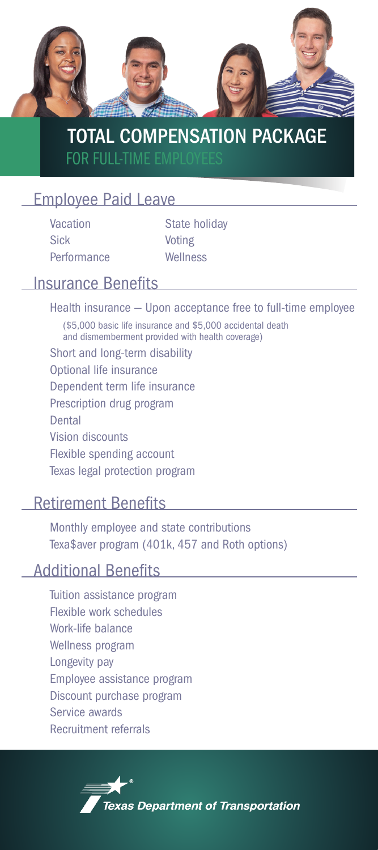

# TOTAL COMPENSATION PACKAGE FOR FULL-TIME EN

## Employee Paid Leave

Vacation Sick Performance

State holiday Voting **Wellness** 

# Insurance Benefits

Health insurance — Upon acceptance free to full-time employee

(\$5,000 basic life insurance and \$5,000 accidental death and dismemberment provided with health coverage)

- Short and long-term disability
- Optional life insurance
- Dependent term life insurance
- Prescription drug program
- Dental
- Vision discounts

Flexible spending account

Texas legal protection program

#### Retirement Benefits

Monthly employee and state contributions Texa\$aver program (401k, 457 and Roth options)

# Additional Benefits

Tuition assistance program Flexible work schedules Work-life balance Wellness program Longevity pay Employee assistance program Discount purchase program Service awards Recruitment referrals